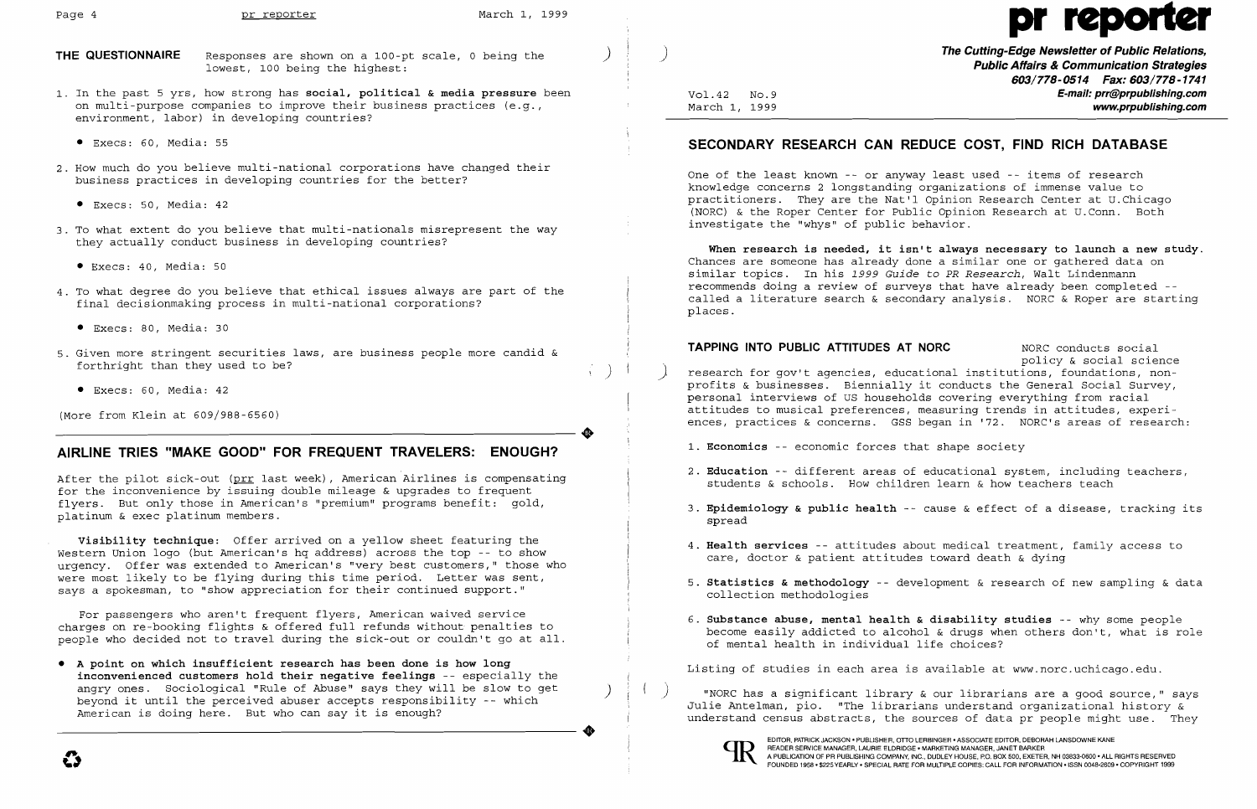**THE QUESTIONNAIRE** Responses are shown on a 100-pt scale, 0 being the lowest, 100 being the highest:

- 1. In the past 5 yrs, how strong has **social, political & media pressure** been on multi-purpose companies to improve their business practices (e.g., environment, labor) in developing countries?
	- • Execs: 60, Media: 55
- 2. How much do you believe multi-national corporations have changed their business practices in developing countries for the better?
	- • Execs: 50, Media: 42
- 3. To what extent do you believe that multi-nationals misrepresent the way they actually conduct business in developing countries?
	- Execs: 40, Media: 50
- 4. To what degree do you believe that ethical issues always are part of the final decisionmaking process in multi-national corporations?
	- • Execs: 80, Media: 30
- 5. Given more stringent securities laws, are business people more candid & forthright than they used to be?
	- Execs: 60, Media: 42

After the pilot sick-out (prr last week), American Airlines is compensating for the inconvenience by issuing double mileage & upgrades to frequent flyers. But only those in American's "premium" programs benefit: gold, platinum & exec platinum members.

(More from Klein at 609/988-6560)

) ) **The Cutting-Edge Newsletter of Public Relations, Public Affairs & Communication Strategies 603/778-0514 Fax: 603/778-1741**  Vol.42 No.9 **E-mail: prr@prpublishing.com**  March 1, 1999  $\blacksquare$ 

## **AIRLINE TRIES "MAKE GOOD" FOR FREQUENT TRAVELERS: ENOUGH?**

**Visibility technique:** Offer arrived on a yellow sheet featuring the Western Union logo (but American's hq address) across the top -- to show urgency. Offer was extended to American's "very best customers," those who were most likely to be flying during this time period. Letter was sent, says a spokesman, to "show appreciation for their continued support."

policy & social science ) ) research for gov't agencies, educational institutions, foundations, non profits & businesses. Biennially it conducts the General Social Survey, ences, practices & concerns. GSS began in '72. NORC's areas of research:

For passengers who aren't frequent flyers, American waived service charges on re-booking flights & offered full refunds without penalties to people who decided not to travel during the sick-out or couldn't go at all.

• **A point on which insufficient research has been done is how long inconvenienced customers hold their negative feelings** -- especially the

# **SECONDARY RESEARCH CAN REDUCE COST, FIND RICH DATABASE**

One of the least known -- or anyway least used -- items of research knowledge concerns 2 longstanding organizations of immense value to practitioners. They are the Nat'l Opinion Research Center at U.Chicago (NaRC) & the Roper Center for Public Opinion Research at U.Conn. Both investigate the "whys" of public behavior.

**When research is needed, it isn't always necessary to launch a new study.**  Chances are someone has already done a similar one or gathered data on similar topics. In his 1999 *Guide* to *PR Research,* Walt Lindenmann recommends doing a review of surveys that have already been completed called a literature search & secondary analysis. NORC & Roper are starting places.

## **TAPPING INTO PUBLIC ATTITUDES AT NORC** NORC conducts social

..

2. **Education** -- different areas of educational system, including teachers,

3. **Epidemiology & public health** -- cause & effect of a disease, tracking its

- personal interviews of US households covering everything from racial attitudes to musical preferences, measuring trends in attitudes, experi
- 1. **Economics** -- economic forces that shape society
- students & schools. How children learn & how teachers teach
- spread
- 4. **Health services** -- attitudes about medical treatment, family access to care, doctor & patient attitudes toward death & dying
- collection methodologies
- of mental health in individual life choices?

Listing of studies in each area is available at www.norc.uchicago.edu.

digry ones. Sociological "Rule of Abuse" says they will be slow to get<br>beyond it until the perceived abuser accepts responsibility -- which<br>American is doing here. But who can say it is enough? The Mich antelman, pio. "The





# Page 4 **pr reporter** March 1, 1999 **pr reporter**

5. **Statistics & methodology** -- development & research of new sampling & data

6. **Substance abuse, mental health & disability studies** -- why some people become easily addicted to alcohol & drugs when others don't, what is role

EDITOR, PATRICK JACKSON . PUBLISHER, OTTO LERBINGER . ASSOCIATE EDITOR, DEBORAH LANSDOWNE KANE A PUBLICATION OF PR PUBLISHING COMPANY, INC., DUDLEY HOUSE, PO. BOX 500, EXETER, NH 03833·0600' ALL RIGHTS RESERVED CDING, FAMILY JACKSON "POBLISHER, OTTO LEABINGER "ASSOCIATE EDITION, DESCRIMITENT AND THE RESPONDED TO A PUBLICATION OF PRINCIPAL AND TO A PUBLICATION OF PRINCIPAL AND TO A PUBLICATION OF PRINCIPAL SACKSON "POBLISHERS ARRI

..